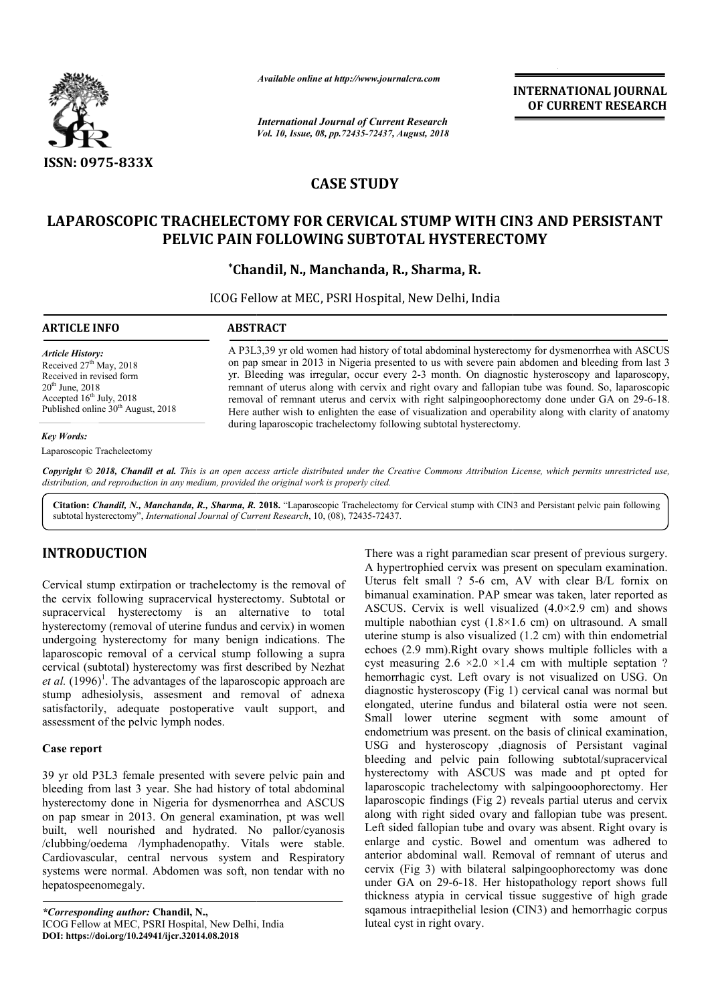

*Available online at http://www.journalcra.com*

*International Journal of Current Research Vol. 10, Issue, 08, pp.72435-72437, August, 2018* **INTERNATIONAL JOURNAL OF CURRENT RESEARCH**

# **CASE STUDY**

## **LAPAROSCOPIC TRACHELECTOMY FOR CERVICAL STUMP WITH CIN3 AND PERSISTANT STUMP WITH CIN3 PELVIC PAIN FOLLOWING SUBTOTAL HYSTERECTOMY**

**\*Chandil, N., Manchanda, R., Sharma, R. Chandil,** 

ICOG Fellow at MEC, PSRI Hospital, New Delhi, India

| <b>ARTICLE INFO</b>                                                                                                                                                                        | <b>ABSTRACT</b>                                                                                                                                                                                                                                                                                                                                                                                                                                                                                                                                                                                                       |
|--------------------------------------------------------------------------------------------------------------------------------------------------------------------------------------------|-----------------------------------------------------------------------------------------------------------------------------------------------------------------------------------------------------------------------------------------------------------------------------------------------------------------------------------------------------------------------------------------------------------------------------------------------------------------------------------------------------------------------------------------------------------------------------------------------------------------------|
| <b>Article History:</b><br>Received $27th$ May, 2018<br>Received in revised form<br>$20^{th}$ June, $2018$<br>Accepted $16th$ July, 2018<br>Published online 30 <sup>th</sup> August, 2018 | A P3L3,39 yr old women had history of total abdominal hysterectomy for dysmenorrhea with ASCUS<br>on pap smear in 2013 in Nigeria presented to us with severe pain abdomen and bleeding from last 3<br>yr. Bleeding was irregular, occur every 2-3 month. On diagnostic hysteroscopy and laparoscopy,<br>remnant of uterus along with cervix and right ovary and fallopian tube was found. So, laparoscopic<br>removal of remnant uterus and cervix with right salpingoophorectomy done under GA on 29-6-18.<br>Here auther wish to enlighten the ease of visualization and operability along with clarity of anatomy |
| <b>Key Words:</b>                                                                                                                                                                          | during laparoscopic trachelectomy following subtotal hysterectomy.                                                                                                                                                                                                                                                                                                                                                                                                                                                                                                                                                    |
| Laparoscopic Trachelectomy                                                                                                                                                                 |                                                                                                                                                                                                                                                                                                                                                                                                                                                                                                                                                                                                                       |

Copyright © 2018, Chandil et al. This is an open access article distributed under the Creative Commons Attribution License, which permits unrestricted use, *distribution, and reproduction in any medium, provided the original work is properly cited.*

Citation: Chandil, N., Manchanda, R., Sharma, R. 2018. "Laparoscopic Trachelectomy for Cervical stump with CIN3 and Persistant pelvic pain following subtotal hysterectomy", *International Journal of Current Research* , 10, (08), 72435-72437.

## **INTRODUCTION**

Cervical stump extirpation or trachelectomy is the removal of the cervix following supracervical hysterectomy. Subtotal or supracervical hysterectomy is an alternative to total hysterectomy (removal of uterine fundus and cervix) in women undergoing hysterectomy for many benign indications. The laparoscopic removal of a cervical stump following a supra cervical (subtotal) hysterectomy was first described by Nezhat et al. (1996)<sup>1</sup>. The advantages of the laparoscopic approach are stump adhesiolysis, assesment and removal of adnexa satisfactorily, adequate postoperative vault support, and assessment of the pelvic lymph nodes.

### **Case report**

39 yr old P3L3 female presented with severe pelvic pain and bleeding from last 3 year. She had history of total abdominal hysterectomy done in Nigeria for dysmenorrhea and ASCUS on pap smear in 2013. On general examination, pt was well built, well nourished and hydrated. No pallor/cyanosis /clubbing/oedema /lymphadenopathy. Vitals were stable. Cardiovascular, central nervous system and Respiratory systems were normal. Abdomen was soft, non tendar with no hepatospeenomegaly.

*\*Corresponding author:* **Chandil, N.,**  ICOG Fellow at MEC, PSRI Hospital, New Delhi, India **DOI: https://doi.org/10.24941/ijcr.32014.08.2018**

There was a right paramedian scar present of previous surgery.<br>
A hypertrophied crivix was present on specular nextaination.<br>
There was respect to reduced the control of the MI chemical density was free to reduced the<br>
int A hypertrophied cervix was present on speculam examination. Uterus felt small ? 5-6 cm, AV with clear B/L fornix on bimanual examination. PAP smear was taken, later reported as ASCUS. Cervix is well visualized  $(4.0\times2.9$  cm) and shows multiple nabothian cyst (1.8×1.6 cm) on ultrasound. A small uterine stump is also visualized (1.2 cm) with thin endometrial echoes (2.9 mm).Right ovary shows multiple follicles with a cyst measuring  $2.6 \times 2.0 \times 1.4$  cm with multiple septation ? hemorrhagic cyst. Left ovary is not visualized on USG. On diagnostic hysteroscopy (Fig 1) (Fig 1) cervical canal was normal but elongated, uterine fundus and bilateral ostia were not seen. Small lower uterine segment with some amount of endometrium was present. on the basis of clinical examination, USG and hysteroscopy ,diagnosis of Persistant vaginal bleeding and pelvic pain following subtotal/supracervical hysterectomy with ASCUS was made and pt opted for laparoscopic trachelectomy with salpingooophorectomy. laparoscopic findings (Fig 2) reveals partial uterus and cervix along with right sided ovary and fallopian tube was present. along with right sided ovary and fallopian tube was present.<br>Left sided fallopian tube and ovary was absent. Right ovary is enlarge and cystic. Bowel and omentum was adhered to anterior abdominal wall. Removal of remnant of uterus and cervix (Fig 3) with bilateral salpingoophorectomy was done under GA on 29-6-18. Her histopathology report shows full thickness atypia in cervical tissue suggestive of high grade sqamous intraepithelial lesion (CIN3) and hemorrhagic corpus luteal cyst in right ovary. rtrophied cervix was present on speculam examinatio<br>retrophied cervix was present on speculam examinatio<br>felt small ? 5-6 cm, AV with clear B/L fornix a<br>la examination. PAP smear was taken, later reported is<br>l. Cervix is lower uterine segment with some amount of<br>trium was present on the basis of clinical examination,<br>nd hysteroscopy ,diagnosis of Persistant vaginal<br>is and pelvic pain following subtotal/supracervical<br>tomy with ASCUS was mad INTERNATIONAL JOURNAL<br>
Courrent Research<br>
CDCURRENT RESEARCH<br>
COLUMBENT (COURRENT RESEARCH<br>
COLUMBENT (COURRENT RESEARCH<br>
ICAL STUMP WITH CIN3 AND PERSISTANT<br>
BTOTAL HYSTERRECTOMY<br>
HOA, R., Sharma, R.<br>
stopital, New Delhi,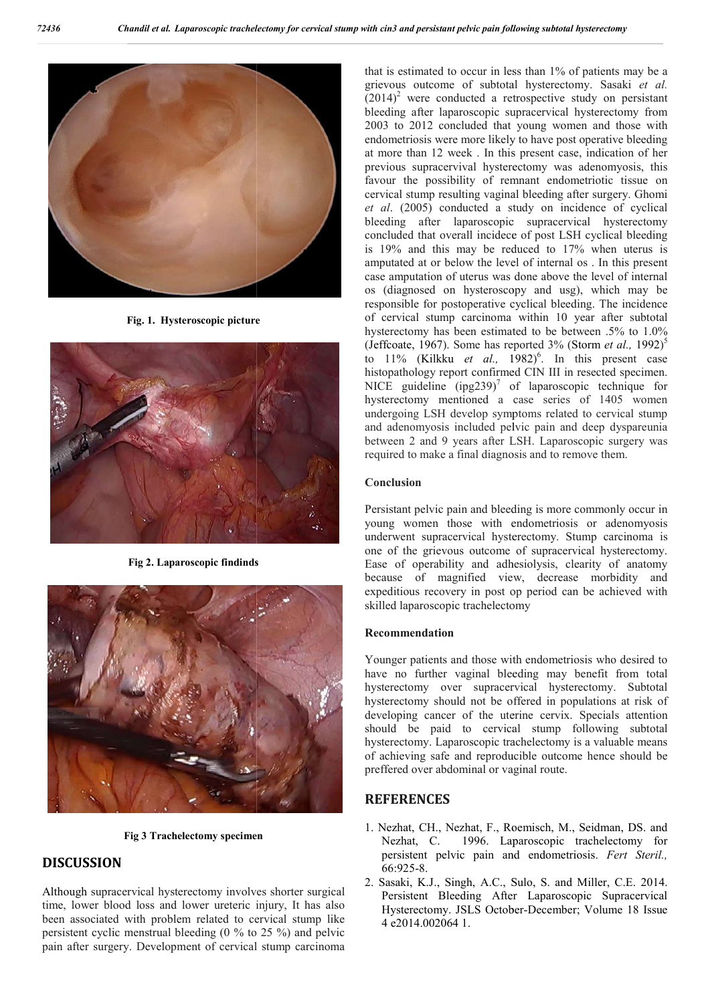

**Fig. 1. Hysteroscopic picture**



**Fig 2. Laparoscopic findinds**



**Fig 3 Trachelectomy specimen**

## **DISCUSSION**

Although supracervical hysterectomy involves shorter surgical time, lower blood loss and lower ureteric injury, It has also been associated with problem related to cervical stump like persistent cyclic menstrual bleeding (0 % to 25 %) and pelv pelvic pain after surgery. Development of cervical stump carcinoma that is estimated to occur in less than 1% of patients may be a that is estimated to occur in less than 1% of patients may be a grievous outcome of subtotal hysterectomy. Sasaki *et al.*  $(2014)^2$  were conducted a retrospective study on persistant bleeding after laparoscopic supracervical hysterectomy from  $(2014)^2$  were conducted a retrospective study on persistant bleeding after laparoscopic supracervical hysterectomy from 2003 to 2012 concluded that young women and those with endometriosis were more likely to have post operative bleeding at more than 12 week . In this present case, indication of her endometriosis were more likely to have post operative bleeding at more than 12 week. In this present case, indication of her previous supracervival hysterectomy was adenomyosis, this favour the possibility of remnant endometriotic tissue on cervical stump resulting vaginal bleeding after surgery. Ghomi *et al*. (2005) conducted a study on incidence of cyclical bleeding after laparoscopic supra laparoscopic supracervical hysterectomy concluded that overall incidece of post LSH cyclical bleeding is 19% and this may be reduced to 17% when uterus is concluded that overall incidece of post LSH cyclical bleeding<br>is 19% and this may be reduced to 17% when uterus is<br>amputated at or below the level of internal os . In this present case amputation of uterus was done above the level of internal os (diagnosed on hysteroscopy and usg), which may be os (diagnosed on hysteroscopy and usg), which may be responsible for postoperative cyclical bleeding. The incidence of cervical stump carcinoma within 10 year after subtotal hysterectomy has been estimated to be between  $.5\%$  to  $1.0\%$ (Jeffcoate, 1967). Some has reported  $3\%$  (Storm *et al.*, 1992)<sup>5</sup> to 11% (Kilkku *et al.*, 1982)<sup>6</sup>. In this present case histopathology report confirmed CIN III in resected specimen. NICE guideline  $(ipg239)^7$  of laparoscopic technique for hysterectomy mentioned a case series of 1405 women undergoing LSH develop symptoms related to cervical stump and adenomyosis included pelvic pain and deep dyspareunia between 2 and 9 years after LSH. Laparoscopic surgery was required to make a final diagnosis and to remove them. my mentioned a case series of 1405 women<br>g LSH develop symptoms related to cervical stump<br>myosis included pelvic pain and deep dyspareunia<br>and 9 years after LSH. Laparoscopic surgery was<br>nake a final diagnosis and to remov

#### **Conclusion**

Persistant pelvic pain and bleeding is more commonly occur in young women those with endometriosis or adenomyosis underwent supracervical hysterectomy. Stump carcinoma is one of the grievous outcome of supracervical hysterectomy Ease of operability and adhesiolysis, clearity of anatomy because of magnified view, decrease morbidity and expeditious recovery in post op period can be achieved with skilled laparoscopic trachelectomy

### **Recommendation**

Younger patients and those with endometriosis who desired to have no further vaginal bleeding may benefit from total hysterectomy over supracervical hysterectomy. Subtotal hysterectomy should not be offered in populations at risk of developing cancer of the uterine cervix. Specials attention should be paid to cervical stump following subtotal hysterectomy. Laparoscopic trachelectomy is a valuable means of achieving safe and reproducible outcome hence should be preffered over abdominal or vaginal route. expeditious recovery in post op period can be achieved with<br>skilled laparoscopic trachelectomy<br>**Recommendation**<br>Younger patients and those with endometriosis who desired to<br>have no further vaginal bleeding may benefit from

### **REFERENCES**

- 1. Nezhat, CH., Nezhat, F., Roemisch, M., Seidman, DS. and Nezhat, C. 1996. Laparoscopic trachelectomy for persistent pelvic pain and endometriosis. Fert Steril., 66:925-8.
- 2. Sasaki, K.J., Singh, A.C., Sulo, S. and Miller, C.E. 2014. Persistent Bleeding After Laparoscopic Supracervical Persistent Bleeding After Laparoscopic Supracervical<br>Hysterectomy. JSLS October-December; Volume 18 Issue 4 e2014.002064 1.